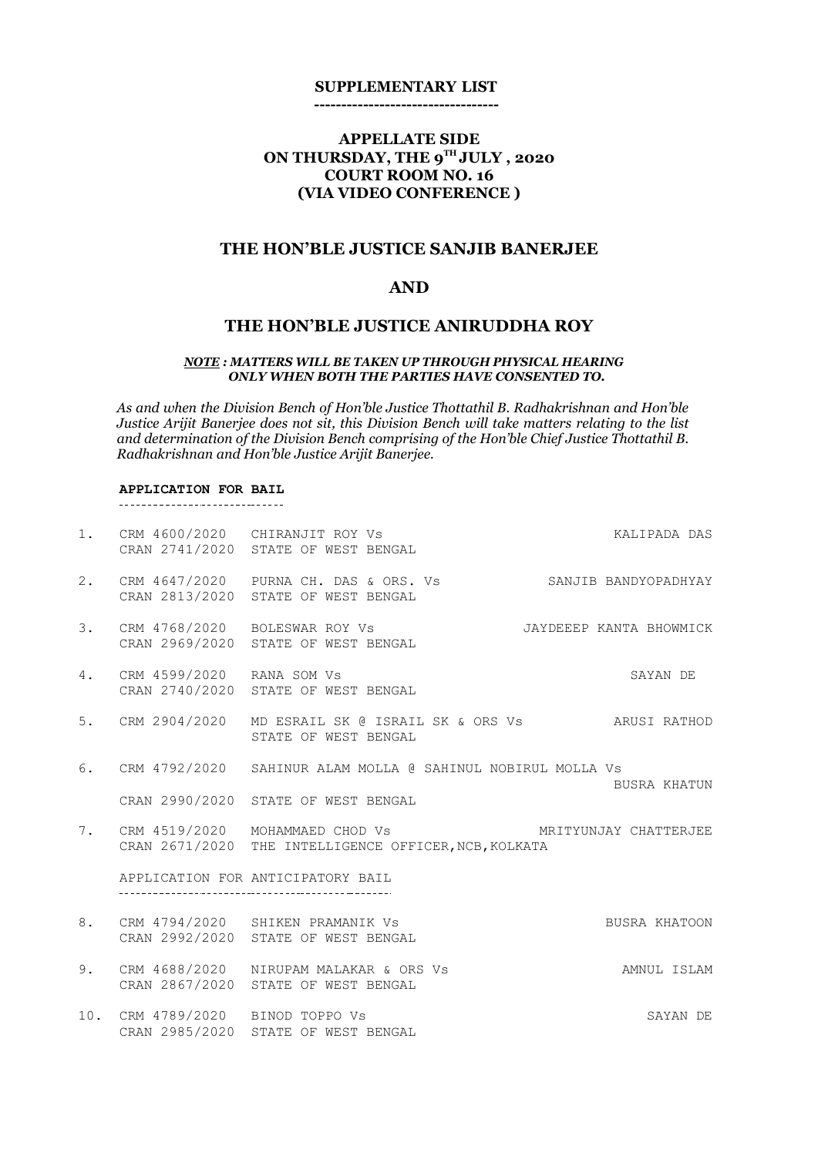#### **SUPPLEMENTARY LIST**

**----------------------------------**

## **APPELLATE SIDE ON THURSDAY, THE 9TH JULY , 2020 COURT ROOM NO. 16 (VIA VIDEO CONFERENCE )**

## **THE HON'BLE JUSTICE SANJIB BANERJEE**

## **AND**

## **THE HON'BLE JUSTICE ANIRUDDHA ROY**

#### *NOTE : MATTERS WILL BE TAKEN UP THROUGH PHYSICAL HEARING ONLY WHEN BOTH THE PARTIES HAVE CONSENTED TO.*

*As and when the Division Bench of Hon'ble Justice Thottathil B. Radhakrishnan and Hon'ble Justice Arijit Banerjee does not sit, this Division Bench will take matters relating to the list and determination of the Division Bench comprising of the Hon'ble Chief Justice Thottathil B. Radhakrishnan and Hon'ble Justice Arijit Banerjee.*

# **APPLICATION FOR BAIL**

|    |                                  | 1. CRM 4600/2020 CHIRANJIT ROY Vs<br>CRAN 2741/2020 STATE OF WEST BENGAL                                          | KALIPADA DAS  |  |
|----|----------------------------------|-------------------------------------------------------------------------------------------------------------------|---------------|--|
|    |                                  | 2. CRM 4647/2020 PURNA CH. DAS & ORS. Vs SANJIB BANDYOPADHYAY<br>CRAN 2813/2020 STATE OF WEST BENGAL              |               |  |
|    |                                  | 3. CRM 4768/2020 BOLESWAR ROY Vs JAYDEEEP KANTA BHOWMICK<br>CRAN 2969/2020 STATE OF WEST BENGAL                   |               |  |
| 4. | CRM 4599/2020 RANA SOM Vs        | CRAN 2740/2020 STATE OF WEST BENGAL                                                                               | SAYAN DE      |  |
|    |                                  | 5. CRM 2904/2020 MD ESRAIL SK @ ISRAIL SK & ORS Vs ARUSI RATHOD<br>STATE OF WEST BENGAL                           |               |  |
|    |                                  | 6. CRM 4792/2020 SAHINUR ALAM MOLLA @ SAHINUL NOBIRUL MOLLA Vs                                                    |               |  |
|    |                                  | CRAN 2990/2020 STATE OF WEST BENGAL                                                                               | BUSRA KHATUN  |  |
|    |                                  | 7. CRM 4519/2020 MOHAMMAED CHOD Vs MRITYUNJAY CHATTERJEE<br>CRAN 2671/2020 THE INTELLIGENCE OFFICER, NCB, KOLKATA |               |  |
|    |                                  | APPLICATION FOR ANTICIPATORY BAIL                                                                                 |               |  |
|    |                                  | 8. CRM 4794/2020 SHIKEN PRAMANIK Vs<br>CRAN 2992/2020 STATE OF WEST BENGAL                                        | BUSRA KHATOON |  |
| 9. |                                  | CRM 4688/2020 NIRUPAM MALAKAR & ORS Vs<br>CRAN 2867/2020 STATE OF WEST BENGAL                                     | AMNUL ISLAM   |  |
|    | 10. CRM 4789/2020 BINOD TOPPO Vs | CRAN 2985/2020 STATE OF WEST BENGAL                                                                               | SAYAN DE      |  |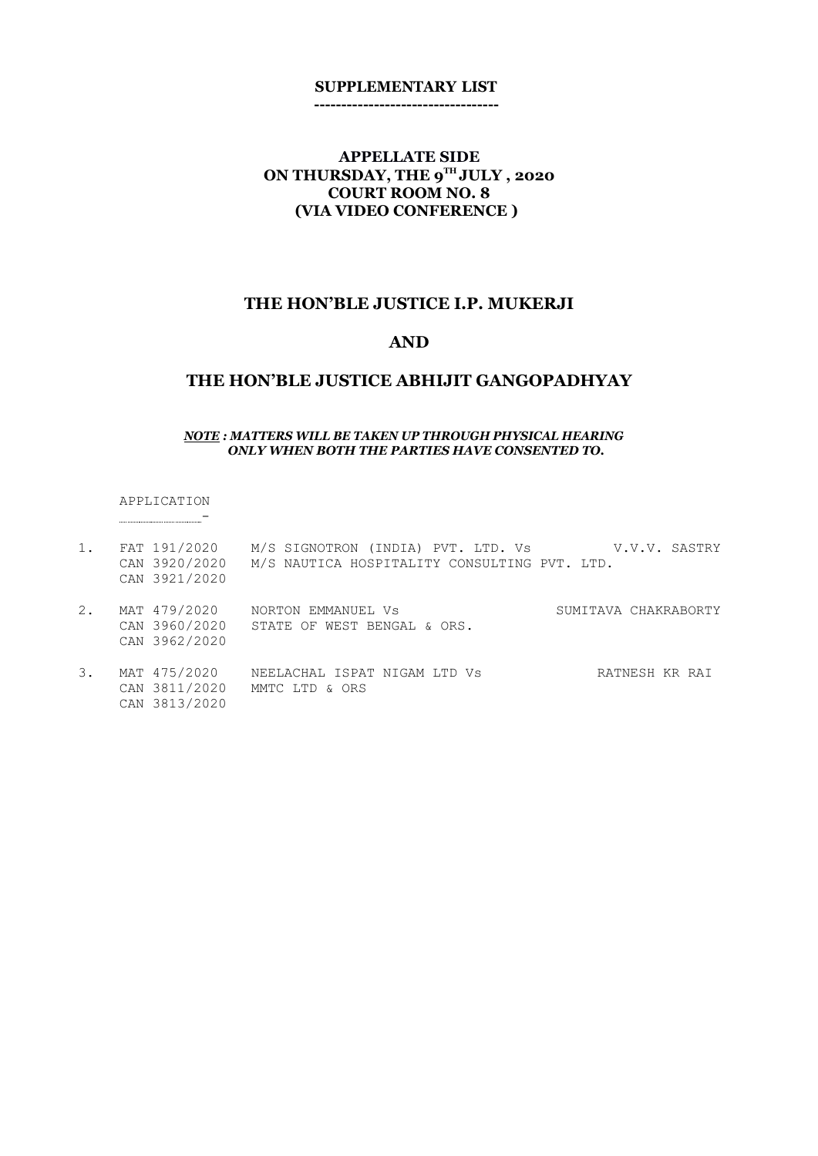#### **SUPPLEMENTARY LIST ----------------------------------**

## **APPELLATE SIDE ON THURSDAY, THE 9TH JULY , 2020 COURT ROOM NO. 8 (VIA VIDEO CONFERENCE )**

#### **THE HON'BLE JUSTICE I.P. MUKERJI**

### **AND**

#### **THE HON'BLE JUSTICE ABHIJIT GANGOPADHYAY**

#### *NOTE : MATTERS WILL BE TAKEN UP THROUGH PHYSICAL HEARING ONLY WHEN BOTH THE PARTIES HAVE CONSENTED TO.*

APPLICATION -

- 1. FAT 191/2020 M/S SIGNOTRON (INDIA) PVT. LTD. Vs V.V.V. SASTRY CAN 3920/2020 M/S NAUTICA HOSPITALITY CONSULTING PVT. LTD. CAN 3921/2020
- 2. MAT 479/2020 NORTON EMMANUEL Vs SUMITAVA CHAKRABORTY CAN 3960/2020 STATE OF WEST BENGAL & ORS. CAN 3962/2020
- 3. MAT 475/2020 NEELACHAL ISPAT NIGAM LTD Vs SATNESH KR RAI CAN 3811/2020 MMTC LTD & ORS CAN 3813/2020